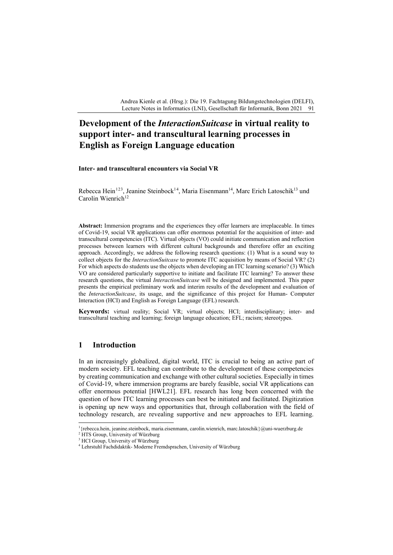Andrea Kienle et al. (Hrsg.): Die 19. Fachtagung Bildungstechnologien (DELFI), Lecture Notes in Informatics (LNI), Gesellschaft für Informatik, Bonn 2021 91

# **Development of the** *InteractionSuitcase* **in virtual reality to support inter- and transcultural learning processes in English as Foreign Language education**

#### **Inter- and transcultural encounters via Social VR**

Rebecca Hein<sup>[1](#page-0-0)[2](#page-0-1)[3](#page-0-2)</sup>, Jeanine Steinbock<sup>1[4](#page-0-3)</sup>, Maria Eisenmann<sup>14</sup>, Marc Erich Latoschik<sup>13</sup> und Carolin Wienrich<sup>12</sup>

**Abstract:** Immersion programs and the experiences they offer learners are irreplaceable. In times of Covid-19, social VR applications can offer enormous potential for the acquisition of inter- and transcultural competencies (ITC). Virtual objects (VO) could initiate communication and reflection processes between learners with different cultural backgrounds and therefore offer an exciting approach. Accordingly, we address the following research questions: (1) What is a sound way to collect objects for the *InteractionSuitcase* to promote ITC acquisition by means of Social VR? (2) For which aspects do students use the objects when developing an ITC learning scenario? (3) Which VO are considered particularly supportive to initiate and facilitate ITC learning? To answer these research questions, the virtual *InteractionSuitcase* will be designed and implemented. This paper presents the empirical preliminary work and interim results of the development and evaluation of the *InteractionSuitcase*, its usage, and the significance of this project for Human- Computer Interaction (HCI) and English as Foreign Language (EFL) research.

**Keywords:** virtual reality; Social VR; virtual objects; HCI; interdisciplinary; inter- and transcultural teaching and learning; foreign language education; EFL; racism; stereotypes.

### **1 Introduction**

In an increasingly globalized, digital world, ITC is crucial to being an active part of modern society. EFL teaching can contribute to the development of these competencies by creating communication and exchange with other cultural societies. Especially in times of Covid-19, where immersion programs are barely feasible, social VR applications can offer enormous potential [HWL21]. EFL research has long been concerned with the question of how ITC learning processes can best be initiated and facilitated. Digitization is opening up new ways and opportunities that, through collaboration with the field of technology research, are revealing supportive and new approaches to EFL learning.

<sup>|&</sup>lt;br>|<br>| <sup>1</sup>{rebecca.hein, jeanine.steinbock, maria.eisenmann, carolin.wienrich, marc.latoschik}@uni-wuerzburg.de

<span id="page-0-1"></span><span id="page-0-0"></span><sup>&</sup>lt;sup>2</sup> HTS Group, University of Würzburg

<sup>&</sup>lt;sup>3</sup> HCI Group, University of Würzburg

<span id="page-0-3"></span><span id="page-0-2"></span><sup>4</sup> Lehrstuhl Fachdidaktik- Moderne Fremdsprachen, University of Würzburg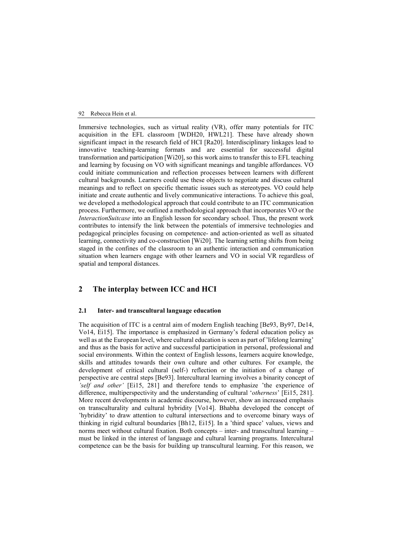#### 92 Rebecca Hein et al.

Immersive technologies, such as virtual reality (VR), offer many potentials for ITC acquisition in the EFL classroom [WDH20, HWL21]. These have already shown significant impact in the research field of HCI [Ra20]. Interdisciplinary linkages lead to innovative teaching-learning formats and are essential for successful digital transformation and participation [Wi20], so this work aims to transfer this to EFL teaching and learning by focusing on VO with significant meanings and tangible affordances. VO could initiate communication and reflection processes between learners with different cultural backgrounds. Learners could use these objects to negotiate and discuss cultural meanings and to reflect on specific thematic issues such as stereotypes. VO could help initiate and create authentic and lively communicative interactions. To achieve this goal, we developed a methodological approach that could contribute to an ITC communication process. Furthermore, we outlined a methodological approach that incorporates VO or the *InteractionSuitcase* into an English lesson for secondary school. Thus, the present work contributes to intensify the link between the potentials of immersive technologies and pedagogical principles focusing on competence- and action-oriented as well as situated learning, connectivity and co-construction [Wi20]. The learning setting shifts from being staged in the confines of the classroom to an authentic interaction and communication situation when learners engage with other learners and VO in social VR regardless of spatial and temporal distances.

# **2 The interplay between ICC and HCI**

#### **2.1 Inter- and transcultural language education**

The acquisition of ITC is a central aim of modern English teaching [Be93, By97, De14, Vo14, Ei15]. The importance is emphasized in Germany's federal education policy as well as at the European level, where cultural education is seen as part of 'lifelong learning' and thus as the basis for active and successful participation in personal, professional and social environments. Within the context of English lessons, learners acquire knowledge, skills and attitudes towards their own culture and other cultures. For example, the development of critical cultural (self-) reflection or the initiation of a change of perspective are central steps [Be93]. Intercultural learning involves a binarity concept of *'self and other'* [Ei15, 281] and therefore tends to emphasize 'the experience of difference, multiperspectivity and the understanding of cultural '*otherness*' [Ei15, 281]. More recent developments in academic discourse, however, show an increased emphasis on transculturality and cultural hybridity [Vo14]. Bhabha developed the concept of 'hybridity' to draw attention to cultural intersections and to overcome binary ways of thinking in rigid cultural boundaries [Bh12, Ei15]. In a 'third space' values, views and norms meet without cultural fixation. Both concepts – inter- and transcultural learning – must be linked in the interest of language and cultural learning programs. Intercultural competence can be the basis for building up transcultural learning. For this reason, we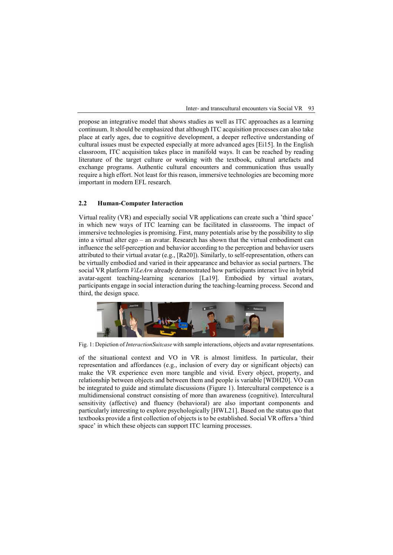Inter- and transcultural encounters via Social VR 93

propose an integrative model that shows studies as well as ITC approaches as a learning continuum. It should be emphasized that although ITC acquisition processes can also take place at early ages, due to cognitive development, a deeper reflective understanding of cultural issues must be expected especially at more advanced ages [Ei15]. In the English classroom, ITC acquisition takes place in manifold ways. It can be reached by reading literature of the target culture or working with the textbook, cultural artefacts and exchange programs. Authentic cultural encounters and communication thus usually require a high effort. Not least for this reason, immersive technologies are becoming more important in modern EFL research.

#### **2.2 Human-Computer Interaction**

Virtual reality (VR) and especially social VR applications can create such a 'third space' in which new ways of ITC learning can be facilitated in classrooms. The impact of immersive technologies is promising. First, many potentials arise by the possibility to slip into a virtual alter ego – an avatar. Research has shown that the virtual embodiment can influence the self-perception and behavior according to the perception and behavior users attributed to their virtual avatar (e.g., [Ra20]). Similarly, to self-representation, others can be virtually embodied and varied in their appearance and behavior as social partners. The social VR platform *ViLeArn* already demonstrated how participants interact live in hybrid avatar-agent teaching-learning scenarios [La19]. Embodied by virtual avatars, participants engage in social interaction during the teaching-learning process. Second and third, the design space.



Fig. 1: Depiction of *InteractionSuitcase* with sample interactions, objects and avatar representations.

of the situational context and VO in VR is almost limitless. In particular, their representation and affordances (e.g., inclusion of every day or significant objects) can make the VR experience even more tangible and vivid. Every object, property, and relationship between objects and between them and people is variable [WDH20]. VO can be integrated to guide and stimulate discussions (Figure 1). Intercultural competence is a multidimensional construct consisting of more than awareness (cognitive). Intercultural sensitivity (affective) and fluency (behavioral) are also important components and particularly interesting to explore psychologically [HWL21]. Based on the status quo that textbooks provide a first collection of objects is to be established. Social VR offers a 'third space' in which these objects can support ITC learning processes.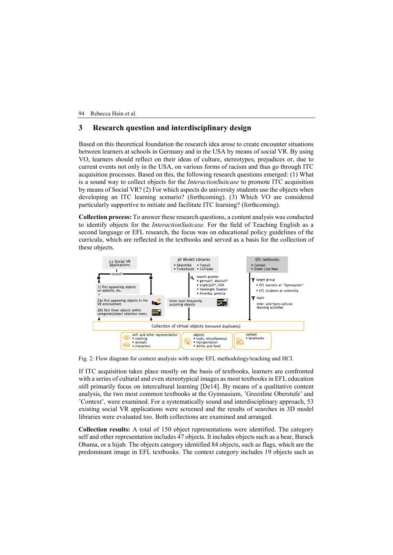94 Rebecca Hein et al.

# **3 Research question and interdisciplinary design**

Based on this theoretical foundation the research idea arose to create encounter situations between learners at schools in Germany and in the USA by means of social VR. By using VO, learners should reflect on their ideas of culture, stereotypes, prejudices or, due to current events not only in the USA, on various forms of racism and thus go through ITC acquisition processes. Based on this, the following research questions emerged: (1) What is a sound way to collect objects for the *InteractionSuitcase* to promote ITC acquisition by means of Social VR? (2) For which aspects do university students use the objects when developing an ITC learning scenario? (forthcoming). (3) Which VO are considered particularly supportive to initiate and facilitate ITC learning? (forthcoming).

**Collection process:** To answer these research questions, a content analysis was conducted to identify objects for the *InteractionSuitcase*. For the field of Teaching English as a second language or EFL research, the focus was on educational policy guidelines of the curricula, which are reflected in the textbooks and served as a basis for the collection of these objects.



Fig. 2: Flow diagram for context analysis with scope EFL methodology/teaching and HCI.

If ITC acquisition takes place mostly on the basis of textbooks, learners are confronted with a series of cultural and even stereotypical images as most textbooks in EFL education still primarily focus on intercultural learning [De14]. By means of a qualitative content analysis, the two most common textbooks at the Gymnasium, 'Greenline Oberstufe' and 'Context', were examined. For a systematically sound and interdisciplinary approach, 53 existing social VR applications were screened and the results of searches in 3D model libraries were evaluated too. Both collections are examined and arranged.

**Collection results:** A total of 150 object representations were identified. The category self and other representation includes 47 objects. It includes objects such as a bear, Barack Obama, or a hijab. The objects category identified 84 objects, such as flags, which are the predominant image in EFL textbooks. The context category includes 19 objects such as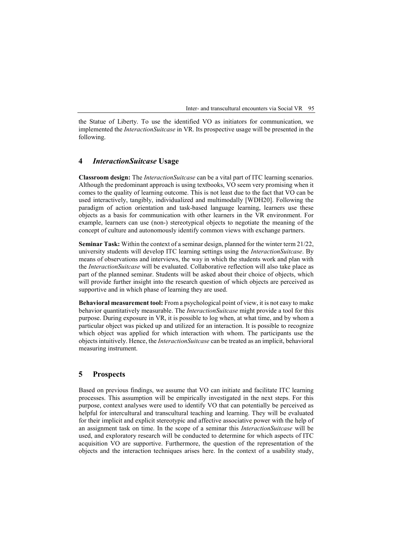Inter- and transcultural encounters via Social VR 95

the Statue of Liberty. To use the identified VO as initiators for communication, we implemented the *InteractionSuitcase* in VR. Its prospective usage will be presented in the following.

# **4** *InteractionSuitcase* **Usage**

**Classroom design:** The *InteractionSuitcase* can be a vital part of ITC learning scenarios. Although the predominant approach is using textbooks, VO seem very promising when it comes to the quality of learning outcome. This is not least due to the fact that VO can be used interactively, tangibly, individualized and multimodally [WDH20]. Following the paradigm of action orientation and task-based language learning, learners use these objects as a basis for communication with other learners in the VR environment. For example, learners can use (non-) stereotypical objects to negotiate the meaning of the concept of culture and autonomously identify common views with exchange partners.

**Seminar Task:** Within the context of a seminar design, planned for the winter term 21/22, university students will develop ITC learning settings using the *InteractionSuitcase*. By means of observations and interviews, the way in which the students work and plan with the *InteractionSuitcase* will be evaluated. Collaborative reflection will also take place as part of the planned seminar. Students will be asked about their choice of objects, which will provide further insight into the research question of which objects are perceived as supportive and in which phase of learning they are used.

**Behavioral measurement tool:** From a psychological point of view, it is not easy to make behavior quantitatively measurable. The *InteractionSuitcase* might provide a tool for this purpose. During exposure in VR, it is possible to log when, at what time, and by whom a particular object was picked up and utilized for an interaction. It is possible to recognize which object was applied for which interaction with whom. The participants use the objects intuitively. Hence, the *InteractionSuitcase* can be treated as an implicit, behavioral measuring instrument.

# **5 Prospects**

Based on previous findings, we assume that VO can initiate and facilitate ITC learning processes. This assumption will be empirically investigated in the next steps. For this purpose, context analyses were used to identify VO that can potentially be perceived as helpful for intercultural and transcultural teaching and learning. They will be evaluated for their implicit and explicit stereotypic and affective associative power with the help of an assignment task on time. In the scope of a seminar this *InteractionSuitcase* will be used, and exploratory research will be conducted to determine for which aspects of ITC acquisition VO are supportive. Furthermore, the question of the representation of the objects and the interaction techniques arises here. In the context of a usability study,